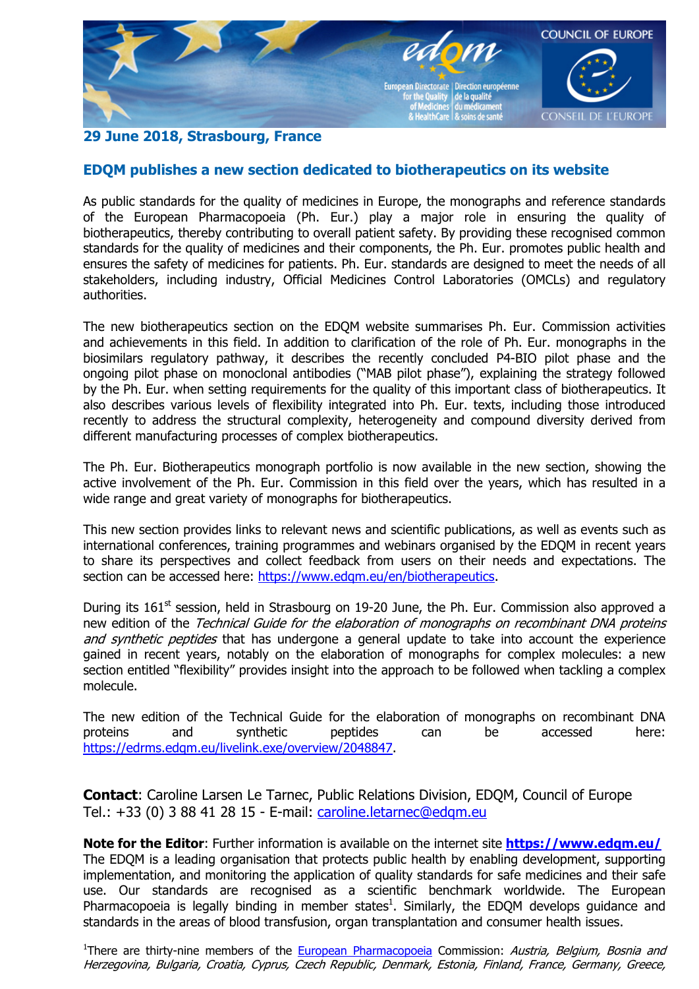

## **29 June 2018, Strasbourg, France**

## **EDQM publishes a new section dedicated to biotherapeutics on its website**

As public standards for the quality of medicines in Europe, the monographs and reference standards of the European Pharmacopoeia (Ph. Eur.) play a major role in ensuring the quality of biotherapeutics, thereby contributing to overall patient safety. By providing these recognised common standards for the quality of medicines and their components, the Ph. Eur. promotes public health and ensures the safety of medicines for patients. Ph. Eur. standards are designed to meet the needs of all stakeholders, including industry, Official Medicines Control Laboratories (OMCLs) and regulatory authorities.

The new biotherapeutics section on the EDQM website summarises Ph. Eur. Commission activities and achievements in this field. In addition to clarification of the role of Ph. Eur. monographs in the biosimilars regulatory pathway, it describes the recently concluded P4-BIO pilot phase and the ongoing pilot phase on monoclonal antibodies ("MAB pilot phase"), explaining the strategy followed by the Ph. Eur. when setting requirements for the quality of this important class of biotherapeutics. It also describes various levels of flexibility integrated into Ph. Eur. texts, including those introduced recently to address the structural complexity, heterogeneity and compound diversity derived from different manufacturing processes of complex biotherapeutics.

The Ph. Eur. Biotherapeutics monograph portfolio is now available in the new section, showing the active involvement of the Ph. Eur. Commission in this field over the years, which has resulted in a wide range and great variety of monographs for biotherapeutics.

This new section provides links to relevant news and scientific publications, as well as events such as international conferences, training programmes and webinars organised by the EDQM in recent years to share its perspectives and collect feedback from users on their needs and expectations. The section can be accessed here: https://www.edgm.eu/en/biotherapeutics.

During its  $161<sup>st</sup>$  session, held in Strasbourg on 19-20 June, the Ph. Eur. Commission also approved a new edition of the Technical Guide for the elaboration of monographs on recombinant DNA proteins and synthetic peptides that has undergone a general update to take into account the experience gained in recent years, notably on the elaboration of monographs for complex molecules: a new section entitled "flexibility" provides insight into the approach to be followed when tackling a complex molecule.

The new edition of the Technical Guide for the elaboration of monographs on recombinant DNA proteins and synthetic peptides can be accessed here: https://edrms.edqm.eu/livelink.exe/overview/2048847.

**Contact**: Caroline Larsen Le Tarnec, Public Relations Division, EDQM, Council of Europe Tel.: +33 (0) 3 88 41 28 15 - E-mail: caroline.letarnec@edqm.eu

**Note for the Editor**: Further information is available on the internet site **https://www.edqm.eu/** The EDQM is a leading organisation that protects public health by enabling development, supporting implementation, and monitoring the application of quality standards for safe medicines and their safe use. Our standards are recognised as a scientific benchmark worldwide. The European Pharmacopoeia is legally binding in member states<sup>1</sup>. Similarly, the EDQM develops guidance and standards in the areas of blood transfusion, organ transplantation and consumer health issues.